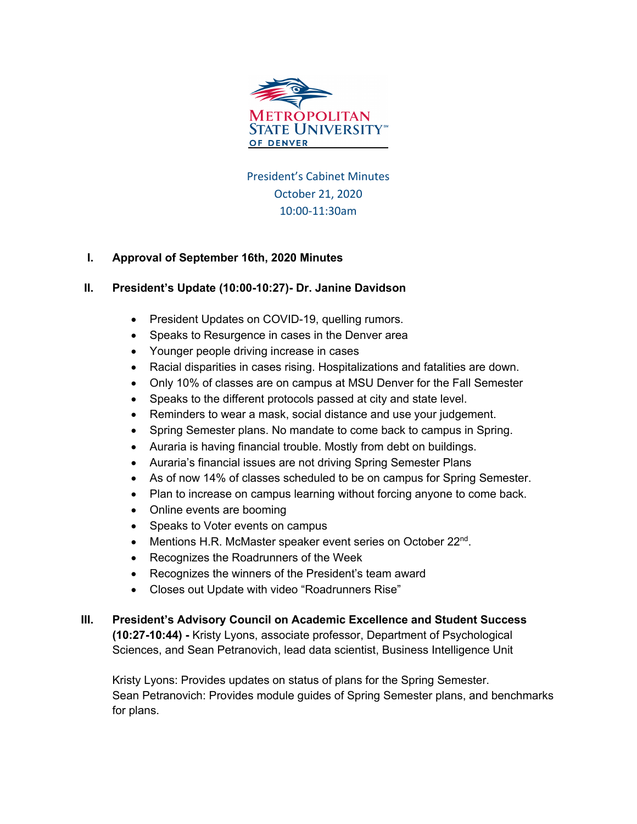

President's Cabinet Minutes October 21, 2020 10:00-11:30am

## **I. Approval of September 16th, 2020 Minutes**

## **II. President's Update (10:00-10:27)- Dr. Janine Davidson**

- President Updates on COVID-19, quelling rumors.
- Speaks to Resurgence in cases in the Denver area
- Younger people driving increase in cases
- Racial disparities in cases rising. Hospitalizations and fatalities are down.
- Only 10% of classes are on campus at MSU Denver for the Fall Semester
- Speaks to the different protocols passed at city and state level.
- Reminders to wear a mask, social distance and use your judgement.
- Spring Semester plans. No mandate to come back to campus in Spring.
- Auraria is having financial trouble. Mostly from debt on buildings.
- Auraria's financial issues are not driving Spring Semester Plans
- As of now 14% of classes scheduled to be on campus for Spring Semester.
- Plan to increase on campus learning without forcing anyone to come back.
- Online events are booming
- Speaks to Voter events on campus
- Mentions H.R. McMaster speaker event series on October  $22^{nd}$ .
- Recognizes the Roadrunners of the Week
- Recognizes the winners of the President's team award
- Closes out Update with video "Roadrunners Rise"
- **III. President's Advisory Council on Academic Excellence and Student Success (10:27-10:44) -** Kristy Lyons, associate professor, Department of Psychological Sciences, and Sean Petranovich, lead data scientist, Business Intelligence Unit

Kristy Lyons: Provides updates on status of plans for the Spring Semester. Sean Petranovich: Provides module guides of Spring Semester plans, and benchmarks for plans.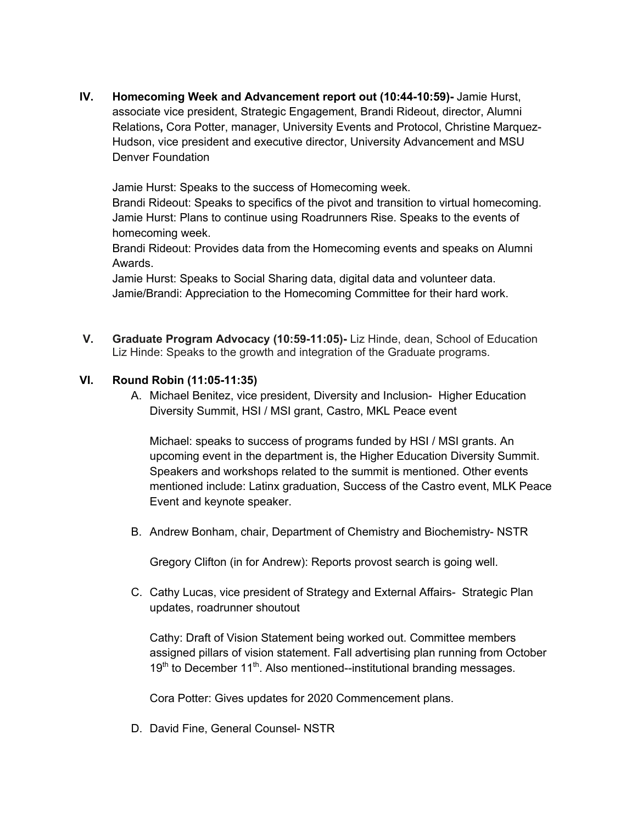**IV. Homecoming Week and Advancement report out (10:44-10:59)-** Jamie Hurst, associate vice president, Strategic Engagement, Brandi Rideout, director, Alumni Relations**,** Cora Potter, manager, University Events and Protocol, Christine Marquez-Hudson, vice president and executive director, University Advancement and MSU Denver Foundation

Jamie Hurst: Speaks to the success of Homecoming week.

Brandi Rideout: Speaks to specifics of the pivot and transition to virtual homecoming. Jamie Hurst: Plans to continue using Roadrunners Rise. Speaks to the events of homecoming week.

Brandi Rideout: Provides data from the Homecoming events and speaks on Alumni Awards.

Jamie Hurst: Speaks to Social Sharing data, digital data and volunteer data. Jamie/Brandi: Appreciation to the Homecoming Committee for their hard work.

**V. Graduate Program Advocacy (10:59-11:05)-** Liz Hinde, dean, School of Education Liz Hinde: Speaks to the growth and integration of the Graduate programs.

## **VI. Round Robin (11:05-11:35)**

A. Michael Benitez, vice president, Diversity and Inclusion- Higher Education Diversity Summit, HSI / MSI grant, Castro, MKL Peace event

Michael: speaks to success of programs funded by HSI / MSI grants. An upcoming event in the department is, the Higher Education Diversity Summit. Speakers and workshops related to the summit is mentioned. Other events mentioned include: Latinx graduation, Success of the Castro event, MLK Peace Event and keynote speaker.

B. Andrew Bonham, chair, Department of Chemistry and Biochemistry- NSTR

Gregory Clifton (in for Andrew): Reports provost search is going well.

C. Cathy Lucas, vice president of Strategy and External Affairs- Strategic Plan updates, roadrunner shoutout

Cathy: Draft of Vision Statement being worked out. Committee members assigned pillars of vision statement. Fall advertising plan running from October  $19<sup>th</sup>$  to December 11<sup>th</sup>. Also mentioned--institutional branding messages.

Cora Potter: Gives updates for 2020 Commencement plans.

D. David Fine, General Counsel- NSTR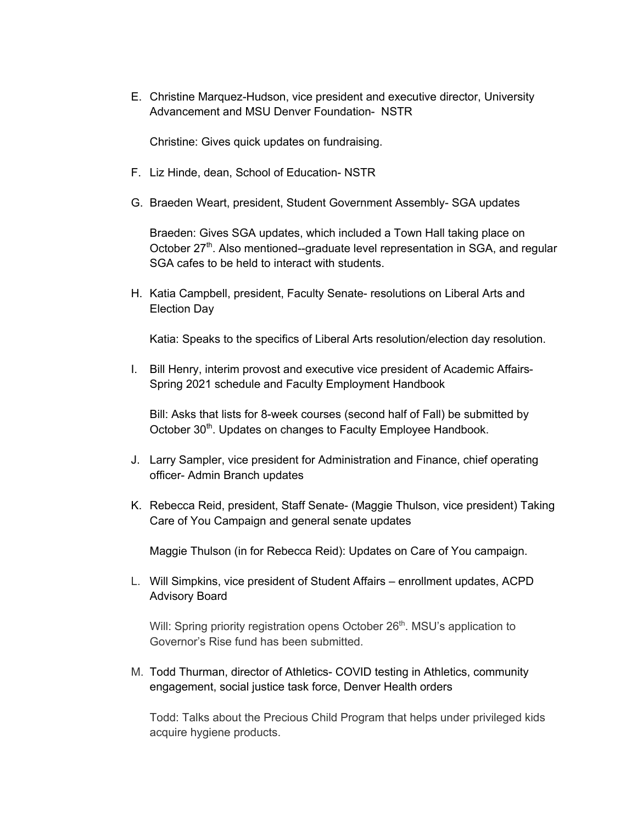E. Christine Marquez-Hudson, vice president and executive director, University Advancement and MSU Denver Foundation- NSTR

Christine: Gives quick updates on fundraising.

- F. Liz Hinde, dean, School of Education- NSTR
- G. Braeden Weart, president, Student Government Assembly- SGA updates

Braeden: Gives SGA updates, which included a Town Hall taking place on October  $27<sup>th</sup>$ . Also mentioned--graduate level representation in SGA, and regular SGA cafes to be held to interact with students.

H. Katia Campbell, president, Faculty Senate- resolutions on Liberal Arts and Election Day

Katia: Speaks to the specifics of Liberal Arts resolution/election day resolution.

I. Bill Henry, interim provost and executive vice president of Academic Affairs-Spring 2021 schedule and Faculty Employment Handbook

Bill: Asks that lists for 8-week courses (second half of Fall) be submitted by October 30<sup>th</sup>. Updates on changes to Faculty Employee Handbook.

- J. Larry Sampler, vice president for Administration and Finance, chief operating officer- Admin Branch updates
- K. Rebecca Reid, president, Staff Senate- (Maggie Thulson, vice president) Taking Care of You Campaign and general senate updates

Maggie Thulson (in for Rebecca Reid): Updates on Care of You campaign.

L. Will Simpkins, vice president of Student Affairs – enrollment updates, ACPD Advisory Board

Will: Spring priority registration opens October 26<sup>th</sup>. MSU's application to Governor's Rise fund has been submitted.

M. Todd Thurman, director of Athletics- COVID testing in Athletics, community engagement, social justice task force, Denver Health orders

Todd: Talks about the Precious Child Program that helps under privileged kids acquire hygiene products.